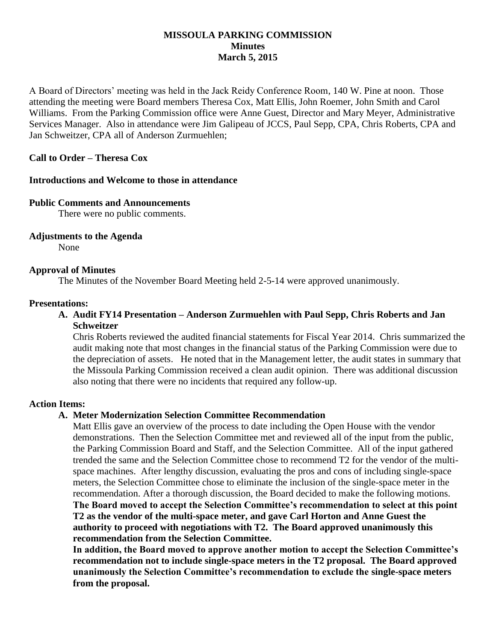### **MISSOULA PARKING COMMISSION Minutes March 5, 2015**

A Board of Directors' meeting was held in the Jack Reidy Conference Room, 140 W. Pine at noon. Those attending the meeting were Board members Theresa Cox, Matt Ellis, John Roemer, John Smith and Carol Williams. From the Parking Commission office were Anne Guest, Director and Mary Meyer, Administrative Services Manager. Also in attendance were Jim Galipeau of JCCS, Paul Sepp, CPA, Chris Roberts, CPA and Jan Schweitzer, CPA all of Anderson Zurmuehlen;

# **Call to Order – Theresa Cox**

### **Introductions and Welcome to those in attendance**

#### **Public Comments and Announcements**

There were no public comments.

### **Adjustments to the Agenda**

None

### **Approval of Minutes**

The Minutes of the November Board Meeting held 2-5-14 were approved unanimously.

#### **Presentations:**

### **A. Audit FY14 Presentation – Anderson Zurmuehlen with Paul Sepp, Chris Roberts and Jan Schweitzer**

Chris Roberts reviewed the audited financial statements for Fiscal Year 2014. Chris summarized the audit making note that most changes in the financial status of the Parking Commission were due to the depreciation of assets. He noted that in the Management letter, the audit states in summary that the Missoula Parking Commission received a clean audit opinion. There was additional discussion also noting that there were no incidents that required any follow-up.

### **Action Items:**

### **A. Meter Modernization Selection Committee Recommendation**

Matt Ellis gave an overview of the process to date including the Open House with the vendor demonstrations. Then the Selection Committee met and reviewed all of the input from the public, the Parking Commission Board and Staff, and the Selection Committee. All of the input gathered trended the same and the Selection Committee chose to recommend T2 for the vendor of the multispace machines. After lengthy discussion, evaluating the pros and cons of including single-space meters, the Selection Committee chose to eliminate the inclusion of the single-space meter in the recommendation. After a thorough discussion, the Board decided to make the following motions.

**The Board moved to accept the Selection Committee's recommendation to select at this point T2 as the vendor of the multi-space meter, and gave Carl Horton and Anne Guest the authority to proceed with negotiations with T2. The Board approved unanimously this recommendation from the Selection Committee.**

**In addition, the Board moved to approve another motion to accept the Selection Committee's recommendation not to include single-space meters in the T2 proposal. The Board approved unanimously the Selection Committee's recommendation to exclude the single-space meters from the proposal.**